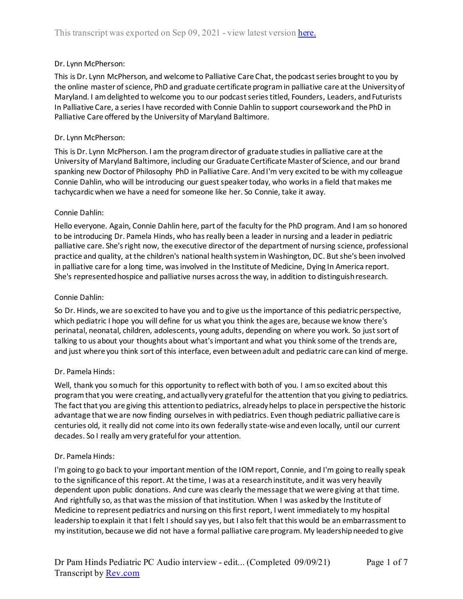## Dr. Lynn McPherson:

This is Dr. Lynn McPherson, and welcome to Palliative Care Chat, the podcast series brought to you by the online master of science, PhD and graduate certificate program in palliative care at the University of Maryland. I am delighted to welcome you to our podcast series titled, Founders, Leaders, and Futurists In Palliative Care, a series I have recorded with Connie Dahlin to support coursework and the PhD in Palliative Care offered by the University of Maryland Baltimore.

### Dr. Lynn McPherson:

This is Dr. Lynn McPherson. I am the program director of graduate studies in palliative care at the University of Maryland Baltimore, including our Graduate Certificate Master of Science, and our brand spanking new Doctor of Philosophy PhD in Palliative Care. And I'm very excited to be with my colleague Connie Dahlin, who will be introducing our guest speaker today, who works in a field that makes me tachycardic when we have a need for someone like her. So Connie, take it away.

### Connie Dahlin:

Hello everyone. Again, Connie Dahlin here, part of the faculty for the PhD program. And I am so honored to be introducing Dr. Pamela Hinds, who has really been a leader in nursing and a leader in pediatric palliative care. She's right now, the executive director of the department of nursing science, professional practice and quality, at the children's national health system in Washington, DC. But she's been involved in palliative care for a long time, was involved in the Institute of Medicine, Dying In America report. She's represented hospice and palliative nurses across the way, in addition to distinguish research.

#### Connie Dahlin:

So Dr. Hinds, we are so excited to have you and to give us the importance of this pediatric perspective, which pediatric I hope you will define for us what you think the ages are, because we know there's perinatal, neonatal, children, adolescents, young adults, depending on where you work. So just sort of talking to us about your thoughts about what's important and what you think some of the trends are, and just where you think sort of this interface, even between adult and pediatric care can kind of merge.

#### Dr. Pamela Hinds:

Well, thank you so much for this opportunity to reflect with both of you. I am so excited about this program that you were creating, and actually very grateful for the attention that you giving to pediatrics. The fact that you are giving this attention to pediatrics, already helps to place in perspective the historic advantage that we are now finding ourselves in with pediatrics. Even though pediatric palliative care is centuries old, it really did not come into its own federally state-wise and even locally, until our current decades. So I really am very grateful for your attention.

#### Dr. Pamela Hinds:

I'm going to go back to your important mention of the IOM report, Connie, and I'm going to really speak to the significance of this report. At the time, I was at a research institute, and it was very heavily dependent upon public donations. And cure was clearly the message that we were giving at that time. And rightfully so, as that was the mission of that institution. When I was asked by the Institute of Medicine to represent pediatrics and nursing on this first report, I went immediately to my hospital leadership to explain it that I felt I should say yes, but I also felt that this would be an embarrassment to my institution, because we did not have a formal palliative care program. My leadership needed to give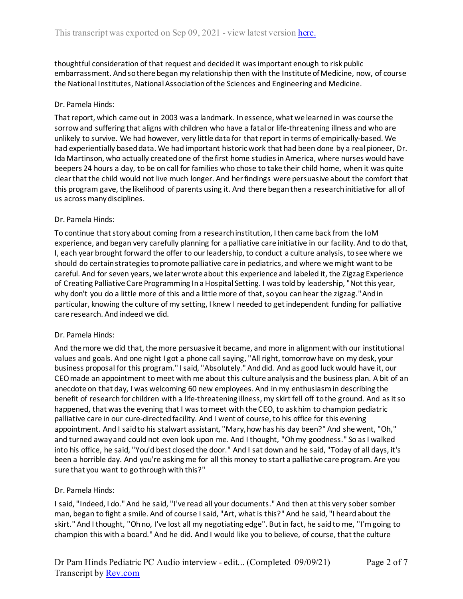thoughtful consideration of that request and decided it was important enough to risk public embarrassment. And so there began my relationship then with the Institute of Medicine, now, of course the National Institutes, National Association of the Sciences and Engineering and Medicine.

## Dr. Pamela Hinds:

That report, which came out in 2003 was a landmark. In essence, what we learned in was course the sorrow and suffering that aligns with children who have a fatal or life-threatening illness and who are unlikely to survive. We had however, very little data for that report in terms of empirically-based. We had experientially based data. We had important historic work that had been done by a real pioneer, Dr. Ida Martinson, who actually created one of the first home studies in America, where nurses would have beepers 24 hours a day, to be on call for families who chose to take their child home, when it was quite clear that the child would not live much longer. And her findings were persuasive about the comfort that this program gave, the likelihood of parents using it. And there began then a research initiative for all of us across many disciplines.

#### Dr. Pamela Hinds:

To continue that story about coming from a research institution, I then came back from the IoM experience, and began very carefully planning for a palliative care initiative in our facility. And to do that, I, each year brought forward the offer to our leadership, to conduct a culture analysis, to see where we should do certain strategies to promote palliative care in pediatrics, and where we might want to be careful. And for seven years, we later wrote about this experience and labeled it, the Zigzag Experience of Creating Palliative Care Programming In a Hospital Setting. I was told by leadership, "Not this year, why don't you do a little more of this and a little more of that, so you can hear the zigzag." And in particular, knowing the culture of my setting, I knew I needed to get independent funding for palliative care research. And indeed we did.

#### Dr. Pamela Hinds:

And the more we did that, the more persuasive it became, and more in alignment with our institutional values and goals. And one night I got a phone call saying, "All right, tomorrow have on my desk, your business proposal for this program." I said, "Absolutely." And did. And as good luck would have it, our CEO made an appointment to meet with me about this culture analysis and the business plan. A bit of an anecdote on that day, I was welcoming 60 new employees. And in my enthusiasm in describing the benefit of research for children with a life-threatening illness, my skirt fell off to the ground. And as it so happened, that was the evening that I was to meet with the CEO, to ask him to champion pediatric palliative care in our cure-directed facility. And I went of course, to his office for this evening appointment. And I said to his stalwart assistant, "Mary, how has his day been?" And she went, "Oh," and turned away and could not even look upon me. And I thought, "Oh my goodness." So as I walked into his office, he said, "You'd best closed the door." And I sat down and he said, "Today of all days, it's been a horrible day. And you're asking me for all this money to start a palliative care program. Are you sure that you want to go through with this?"

# Dr. Pamela Hinds:

I said, "Indeed, I do." And he said, "I've read all your documents." And then at this very sober somber man, began to fight a smile. And of course I said, "Art, what is this?" And he said, "I heard about the skirt." And I thought, "Oh no, I've lost all my negotiating edge". But in fact, he said to me, "I'm going to champion this with a board." And he did. And I would like you to believe, of course, that the culture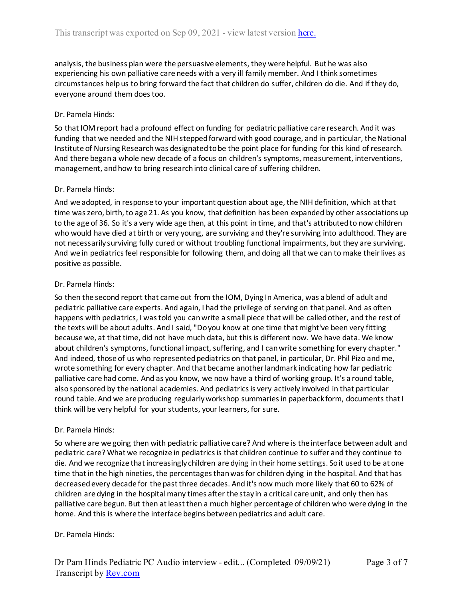analysis, the business plan were the persuasive elements, they were helpful. But he was also experiencing his own palliative care needs with a very ill family member. And I think sometimes circumstances help us to bring forward the fact that children do suffer, children do die. And if they do, everyone around them does too.

# Dr. Pamela Hinds:

So that IOM report had a profound effect on funding for pediatric palliative care research. And it was funding that we needed and the NIH stepped forward with good courage, and in particular, the National Institute of Nursing Research was designated to be the point place for funding for this kind of research. And there began a whole new decade of a focus on children's symptoms, measurement, interventions, management, and how to bring research into clinical care of suffering children.

# Dr. Pamela Hinds:

And we adopted, in response to your important question about age, the NIH definition, which at that time was zero, birth, to age 21. As you know, that definition has been expanded by other associations up to the age of 36. So it's a very wide age then, at this point in time, and that's attributed to now children who would have died at birth or very young, are surviving and they're surviving into adulthood. They are not necessarily surviving fully cured or without troubling functional impairments, but they are surviving. And we in pediatrics feel responsible for following them, and doing all that we can to make their lives as positive as possible.

### Dr. Pamela Hinds:

So then the second report that came out from the IOM, Dying In America, was a blend of adult and pediatric palliative care experts. And again, I had the privilege of serving on that panel. And as often happens with pediatrics, I was told you can write a small piece that will be called other, and the rest of the texts will be about adults. And I said, "Do you know at one time that might've been very fitting because we, at that time, did not have much data, but this is different now. We have data. We know about children's symptoms, functional impact, suffering, and I can write something for every chapter." And indeed, those of us who represented pediatrics on that panel, in particular, Dr. Phil Pizo and me, wrote something for every chapter. And that became another landmark indicating how far pediatric palliative care had come. And as you know, we now have a third of working group. It's a round table, also sponsored by the national academies. And pediatrics is very actively involved in that particular round table. And we are producing regularly workshop summaries in paperback form, documents that I think will be very helpful for your students, your learners, for sure.

# Dr. Pamela Hinds:

So where are we going then with pediatric palliative care? And where is the interface between adult and pediatric care? What we recognize in pediatrics is that children continue to suffer and they continue to die. And we recognize that increasingly children are dying in their home settings. So it used to be at one time that in the high nineties, the percentages than was for children dying in the hospital. And that has decreased every decade for the past three decades. And it's now much more likely that 60 to 62% of children are dying in the hospital many times after the stay in a critical care unit, and only then has palliative care begun. But then at least then a much higher percentage of children who were dying in the home. And this is where the interface begins between pediatrics and adult care.

# Dr. Pamela Hinds: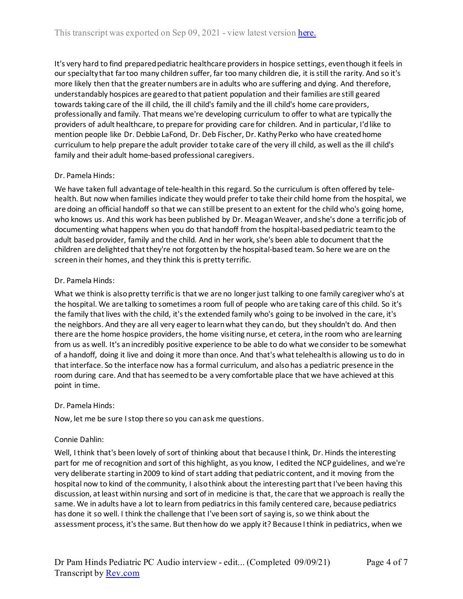It's very hard to find prepared pediatric healthcare providers in hospice settings, even though it feels in our specialty that far too many children suffer, far too many children die, it is still the rarity. And so it's more likely then that the greater numbers are in adults who are suffering and dying. And therefore, understandably hospices are geared to that patient population and their families are still geared towards taking care of the ill child, the ill child's family and the ill child's home care providers, professionally and family. That means we're developing curriculum to offer to what are typically the providers of adult healthcare, to prepare for providing care for children. And in particular, I'd like to mention people like Dr. Debbie LaFond, Dr. Deb Fischer, Dr. Kathy Perko who have created home curriculum to help prepare the adult provider to take care of the very ill child, as well as the ill child's family and their adult home-based professional caregivers.

# Dr. Pamela Hinds:

We have taken full advantage of tele-health in this regard. So the curriculum is often offered by telehealth. But now when families indicate they would prefer to take their child home from the hospital, we are doing an official handoff so that we can still be present to an extent for the child who's going home, who knows us. And this work has been published by Dr. Meagan Weaver, and she's done a terrific job of documenting what happens when you do that handoff from the hospital-based pediatric team to the adult based provider, family and the child. And in her work, she's been able to document that the children are delighted that they're not forgotten by the hospital-based team. So here we are on the screen in their homes, and they think this is pretty terrific.

### Dr. Pamela Hinds:

What we think is also pretty terrific is that we are no longer just talking to one family caregiver who's at the hospital. We are talking to sometimes a room full of people who are taking care of this child. So it's the family that lives with the child, it's the extended family who's going to be involved in the care, it's the neighbors. And they are all very eager to learn what they can do, but they shouldn't do. And then there are the home hospice providers, the home visiting nurse, et cetera, in the room who are learning from us as well. It's an incredibly positive experience to be able to do what we consider to be somewhat of a handoff, doing it live and doing it more than once. And that's what telehealth is allowing us to do in that interface. So the interface now has a formal curriculum, and also has a pediatric presence in the room during care. And that has seemed to be a very comfortable place that we have achieved at this point in time.

#### Dr. Pamela Hinds:

Now, let me be sure I stop there so you can ask me questions.

# Connie Dahlin:

Well, I think that's been lovely of sort of thinking about that because I think, Dr. Hinds the interesting part for me of recognition and sort of this highlight, as you know, I edited the NCP guidelines, and we're very deliberate starting in 2009 to kind of start adding that pediatric content, and it moving from the hospital now to kind of the community, I also think about the interesting part that I've been having this discussion, at least within nursing and sort of in medicine is that, the care that we approach is really the same. We in adults have a lot to learn from pediatrics in this family centered care, because pediatrics has done it so well. I think the challenge that I've been sort of saying is, so we think about the assessment process, it's the same. But then how do we apply it? Because I think in pediatrics, when we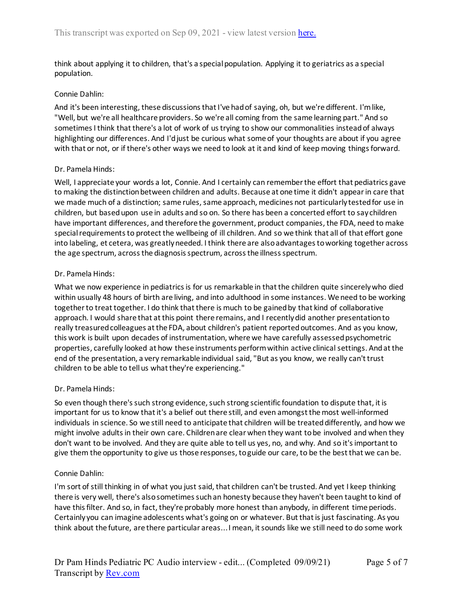think about applying it to children, that's a special population. Applying it to geriatrics as a special population.

### Connie Dahlin:

And it's been interesting, these discussions that I've had of saying, oh, but we're different. I'm like, "Well, but we're all healthcare providers. So we're all coming from the same learning part." And so sometimes I think that there's a lot of work of us trying to show our commonalities instead of always highlighting our differences. And I'd just be curious what some of your thoughts are about if you agree with that or not, or if there's other ways we need to look at it and kind of keep moving things forward.

### Dr. Pamela Hinds:

Well, I appreciate your words a lot, Connie. And I certainly can remember the effort that pediatrics gave to making the distinction between children and adults. Because at one time it didn't appear in care that we made much of a distinction; same rules, same approach, medicines not particularly tested for use in children, but based upon use in adults and so on. So there has been a concerted effort to say children have important differences, and therefore the government, product companies, the FDA, need to make special requirements to protect the wellbeing of ill children. And so we think that all of that effort gone into labeling, et cetera, was greatly needed. I think there are also advantages to working together across the age spectrum, across the diagnosis spectrum, across the illness spectrum.

### Dr. Pamela Hinds:

What we now experience in pediatrics is for us remarkable in that the children quite sincerely who died within usually 48 hours of birth are living, and into adulthood in some instances. We need to be working together to treat together. I do think that there is much to be gained by that kind of collaborative approach. I would share that at this point there remains, and I recently did another presentation to really treasured colleagues at the FDA, about children's patient reported outcomes. And as you know, this work is built upon decades of instrumentation, where we have carefully assessed psychometric properties, carefully looked at how these instruments perform within active clinical settings. And at the end of the presentation, a very remarkable individual said, "But as you know, we really can't trust children to be able to tell us what they're experiencing."

# Dr. Pamela Hinds:

So even though there's such strong evidence, such strong scientific foundation to dispute that, it is important for us to know that it's a belief out there still, and even amongst the most well-informed individuals in science. So we still need to anticipate that children will be treated differently, and how we might involve adults in their own care. Children are clear when they want to be involved and when they don't want to be involved. And they are quite able to tell us yes, no, and why. And so it's important to give them the opportunity to give us those responses, to guide our care, to be the best that we can be.

# Connie Dahlin:

I'm sort of still thinking in of what you just said, that children can't be trusted. And yet I keep thinking there is very well, there's also sometimes such an honesty because they haven't been taught to kind of have this filter. And so, in fact, they're probably more honest than anybody, in different time periods. Certainly you can imagine adolescents what's going on or whatever. But that is just fascinating. As you think about the future, are there particular areas... I mean, it sounds like we still need to do some work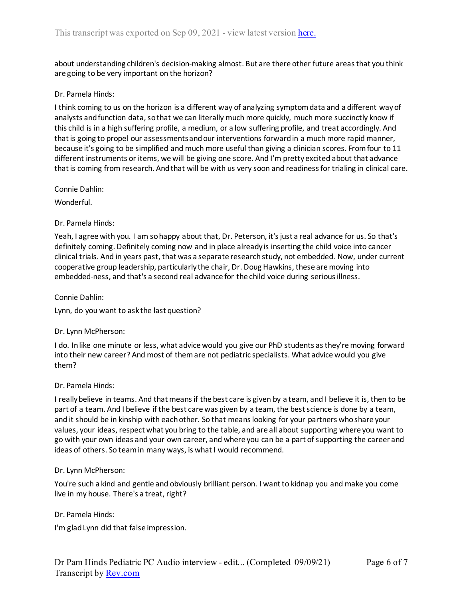about understanding children's decision-making almost. But are there other future areas that you think are going to be very important on the horizon?

### Dr. Pamela Hinds:

I think coming to us on the horizon is a different way of analyzing symptom data and a different way of analysts and function data, so that we can literally much more quickly, much more succinctly know if this child is in a high suffering profile, a medium, or a low suffering profile, and treat accordingly. And that is going to propel our assessments and our interventions forward in a much more rapid manner, because it's going to be simplified and much more useful than giving a clinician scores. From four to 11 different instruments or items, we will be giving one score. And I'm pretty excited about that advance that is coming from research. And that will be with us very soon and readiness for trialing in clinical care.

#### Connie Dahlin:

Wonderful.

### Dr. Pamela Hinds:

Yeah, I agree with you. I am so happy about that, Dr. Peterson, it's just a real advance for us. So that's definitely coming. Definitely coming now and in place already is inserting the child voice into cancer clinical trials. And in years past, that was a separate research study, not embedded. Now, under current cooperative group leadership, particularly the chair, Dr. Doug Hawkins, these are moving into embedded-ness, and that's a second real advance for the child voice during serious illness.

### Connie Dahlin:

Lynn, do you want to ask the last question?

#### Dr. Lynn McPherson:

I do. In like one minute or less, what advice would you give our PhD students as they're moving forward into their new career? And most of them are not pediatric specialists. What advice would you give them?

#### Dr. Pamela Hinds:

I really believe in teams. And that means if the best care is given by a team, and I believe it is, then to be part of a team. And I believe if the best care was given by a team, the best science is done by a team, and it should be in kinship with each other. So that means looking for your partners who share your values, your ideas, respect what you bring to the table, and are all about supporting where you want to go with your own ideas and your own career, and where you can be a part of supporting the career and ideas of others. So team in many ways, is what I would recommend.

#### Dr. Lynn McPherson:

You're such a kind and gentle and obviously brilliant person. I want to kidnap you and make you come live in my house. There's a treat, right?

Dr. Pamela Hinds:

I'm glad Lynn did that false impression.